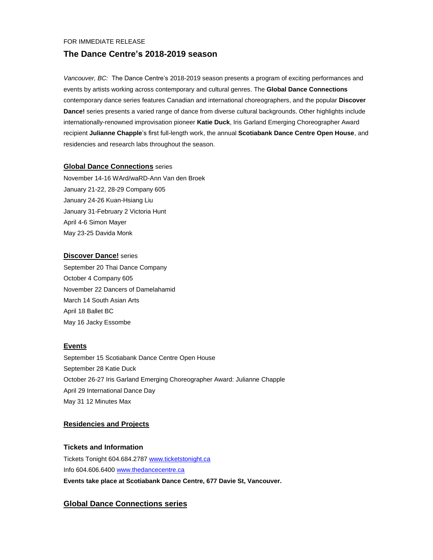### FOR IMMEDIATE RELEASE

# **The Dance Centre's 2018-2019 season**

*Vancouver, BC:* The Dance Centre's 2018-2019 season presents a program of exciting performances and events by artists working across contemporary and cultural genres. The **Global Dance Connections** contemporary dance series features Canadian and international choreographers, and the popular **Discover Dance!** series presents a varied range of dance from diverse cultural backgrounds. Other highlights include internationally-renowned improvisation pioneer **Katie Duck**, Iris Garland Emerging Choreographer Award recipient **Julianne Chapple**'s first full-length work, the annual **Scotiabank Dance Centre Open House**, and residencies and research labs throughout the season.

# **Global Dance Connections** series

November 14-16 WArd/waRD-Ann Van den Broek January 21-22, 28-29 Company 605 January 24-26 Kuan-Hsiang Liu January 31-February 2 Victoria Hunt April 4-6 Simon Mayer May 23-25 Davida Monk

# **Discover Dance!** series

September 20 Thai Dance Company October 4 Company 605 November 22 Dancers of Damelahamid March 14 South Asian Arts April 18 Ballet BC May 16 Jacky Essombe

# **Events**

September 15 Scotiabank Dance Centre Open House September 28 Katie Duck October 26-27 Iris Garland Emerging Choreographer Award: Julianne Chapple April 29 International Dance Day May 31 12 Minutes Max

# **Residencies and Projects**

# **Tickets and Information**

Tickets Tonight 604.684.2787 [www.ticketstonight.ca](http://www.ticketstonight.ca/) Info 604.606.6400 [www.thedancecentre.ca](http://www.thedancecentre.ca/) **Events take place at Scotiabank Dance Centre, 677 Davie St, Vancouver.**

# **Global Dance Connections series**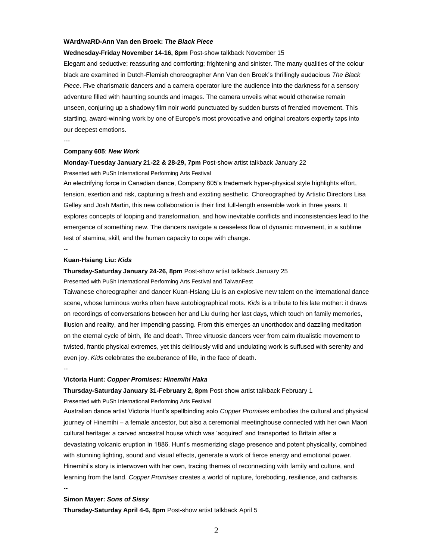#### **WArd/waRD-Ann Van den Broek:** *The Black Piece*

#### **Wednesday-Friday November 14-16, 8pm** Post-show talkback November 15

Elegant and seductive; reassuring and comforting; frightening and sinister. The many qualities of the colour black are examined in Dutch-Flemish choreographer Ann Van den Broek's thrillingly audacious *The Black Piece*. Five charismatic dancers and a camera operator lure the audience into the darkness for a sensory adventure filled with haunting sounds and images. The camera unveils what would otherwise remain unseen, conjuring up a shadowy film noir world punctuated by sudden bursts of frenzied movement. This startling, award-winning work by one of Europe's most provocative and original creators expertly taps into our deepest emotions.

---

#### **Company 605**: *New Work*

## **Monday-Tuesday January 21-22 & 28-29, 7pm** Post-show artist talkback January 22

Presented with PuSh International Performing Arts Festival

An electrifying force in Canadian dance, Company 605's trademark hyper-physical style highlights effort, tension, exertion and risk, capturing a fresh and exciting aesthetic. Choreographed by Artistic Directors Lisa Gelley and Josh Martin, this new collaboration is their first full-length ensemble work in three years. It explores concepts of looping and transformation, and how inevitable conflicts and inconsistencies lead to the emergence of something new. The dancers navigate a ceaseless flow of dynamic movement, in a sublime test of stamina, skill, and the human capacity to cope with change.

--

#### **Kuan-Hsiang Liu:** *Kids*

#### **Thursday-Saturday January 24-26, 8pm** Post-show artist talkback January 25

Presented with PuSh International Performing Arts Festival and TaiwanFest

Taiwanese choreographer and dancer Kuan-Hsiang Liu is an explosive new talent on the international dance scene, whose luminous works often have autobiographical roots. *Kids* is a tribute to his late mother: it draws on recordings of conversations between her and Liu during her last days, which touch on family memories, illusion and reality, and her impending passing. From this emerges an unorthodox and dazzling meditation on the eternal cycle of birth, life and death. Three virtuosic dancers veer from calm ritualistic movement to twisted, frantic physical extremes, yet this deliriously wild and undulating work is suffused with serenity and even joy. *Kids* celebrates the exuberance of life, in the face of death.

#### --

--

#### **Victoria Hunt:** *Copper Promises: Hinemihi Haka*

**Thursday-Saturday January 31-February 2, 8pm** Post-show artist talkback February 1

Presented with PuSh International Performing Arts Festival

Australian dance artist Victoria Hunt's spellbinding solo *Copper Promises* embodies the cultural and physical journey of Hinemihi – a female ancestor, but also a ceremonial meetinghouse connected with her own Maori cultural heritage: a carved ancestral house which was 'acquired' and transported to Britain after a devastating volcanic eruption in 1886. Hunt's mesmerizing stage presence and potent physicality, combined with stunning lighting, sound and visual effects, generate a work of fierce energy and emotional power. Hinemihi's story is interwoven with her own, tracing themes of reconnecting with family and culture, and learning from the land. *Copper Promises* creates a world of rupture, foreboding, resilience, and catharsis.

#### **Simon Mayer:** *Sons of Sissy*

**Thursday-Saturday April 4-6, 8pm** Post-show artist talkback April 5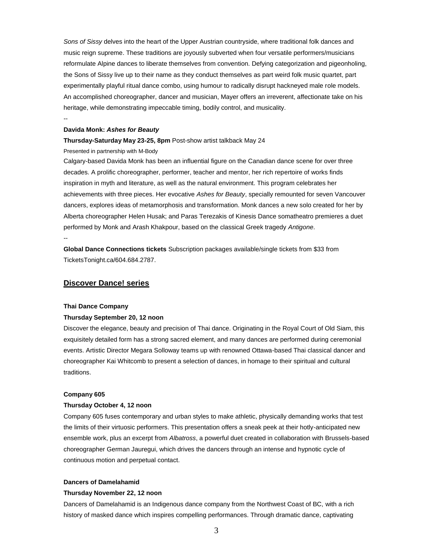*Sons of Sissy* delves into the heart of the Upper Austrian countryside, where traditional folk dances and music reign supreme. These traditions are joyously subverted when four versatile performers/musicians reformulate Alpine dances to liberate themselves from convention. Defying categorization and pigeonholing, the Sons of Sissy live up to their name as they conduct themselves as part weird folk music quartet, part experimentally playful ritual dance combo, using humour to radically disrupt hackneyed male role models. An accomplished choreographer, dancer and musician, Mayer offers an irreverent, affectionate take on his heritage, while demonstrating impeccable timing, bodily control, and musicality.

--

# **Davida Monk:** *Ashes for Beauty*

# **Thursday-Saturday May 23-25, 8pm** Post-show artist talkback May 24

Presented in partnership with M-Body

Calgary-based Davida Monk has been an influential figure on the Canadian dance scene for over three decades. A prolific choreographer, performer, teacher and mentor, her rich repertoire of works finds inspiration in myth and literature, as well as the natural environment. This program celebrates her achievements with three pieces. Her evocative *Ashes for Beauty*, specially remounted for seven Vancouver dancers, explores ideas of metamorphosis and transformation. Monk dances a new solo created for her by Alberta choreographer Helen Husak; and Paras Terezakis of Kinesis Dance somatheatro premieres a duet performed by Monk and Arash Khakpour, based on the classical Greek tragedy *Antigone*. --

**Global Dance Connections tickets** Subscription packages available/single tickets from \$33 from TicketsTonight.ca/604.684.2787.

# **Discover Dance! series**

#### **Thai Dance Company**

## **Thursday September 20, 12 noon**

Discover the elegance, beauty and precision of Thai dance. Originating in the Royal Court of Old Siam, this exquisitely detailed form has a strong sacred element, and many dances are performed during ceremonial events. Artistic Director Megara Solloway teams up with renowned Ottawa-based Thai classical dancer and choreographer Kai Whitcomb to present a selection of dances, in homage to their spiritual and cultural traditions.

## **Company 605**

## **Thursday October 4, 12 noon**

Company 605 fuses contemporary and urban styles to make athletic, physically demanding works that test the limits of their virtuosic performers. This presentation offers a sneak peek at their hotly-anticipated new ensemble work, plus an excerpt from *Albatross*, a powerful duet created in collaboration with Brussels-based choreographer German Jauregui, which drives the dancers through an intense and hypnotic cycle of continuous motion and perpetual contact.

#### **Dancers of Damelahamid**

## **Thursday November 22, 12 noon**

Dancers of Damelahamid is an Indigenous dance company from the Northwest Coast of BC, with a rich history of masked dance which inspires compelling performances. Through dramatic dance, captivating

3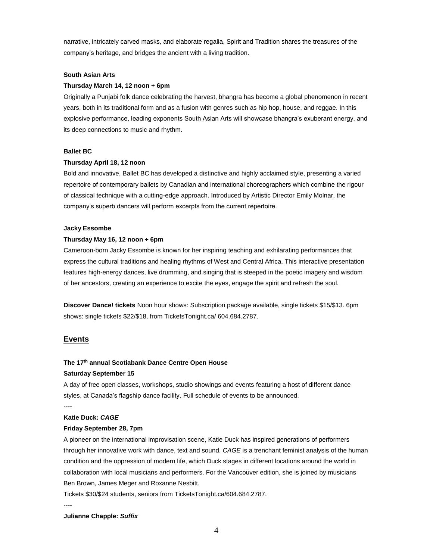narrative, intricately carved masks, and elaborate regalia, Spirit and Tradition shares the treasures of the company's heritage, and bridges the ancient with a living tradition.

#### **South Asian Arts**

#### **Thursday March 14, 12 noon + 6pm**

Originally a Punjabi folk dance celebrating the harvest, bhangra has become a global phenomenon in recent years, both in its traditional form and as a fusion with genres such as hip hop, house, and reggae. In this explosive performance, leading exponents South Asian Arts will showcase bhangra's exuberant energy, and its deep connections to music and rhythm.

# **Ballet BC**

#### **Thursday April 18, 12 noon**

Bold and innovative, Ballet BC has developed a distinctive and highly acclaimed style, presenting a varied repertoire of contemporary ballets by Canadian and international choreographers which combine the rigour of classical technique with a cutting-edge approach. Introduced by Artistic Director Emily Molnar, the company's superb dancers will perform excerpts from the current repertoire.

#### **Jacky Essombe**

#### **Thursday May 16, 12 noon + 6pm**

Cameroon-born Jacky Essombe is known for her inspiring teaching and exhilarating performances that express the cultural traditions and healing rhythms of West and Central Africa. This interactive presentation features high-energy dances, live drumming, and singing that is steeped in the poetic imagery and wisdom of her ancestors, creating an experience to excite the eyes, engage the spirit and refresh the soul.

**Discover Dance! tickets** Noon hour shows: Subscription package available, single tickets \$15/\$13. 6pm shows: single tickets \$22/\$18, from TicketsTonight.ca/ 604.684.2787.

#### **Events**

#### **The 17 th annual Scotiabank Dance Centre Open House**

#### **Saturday September 15**

A day of free open classes, workshops, studio showings and events featuring a host of different dance styles, at Canada's flagship dance facility. Full schedule of events to be announced.

#### **Katie Duck:** *CAGE*

#### **Friday September 28, 7pm**

A pioneer on the international improvisation scene, Katie Duck has inspired generations of performers through her innovative work with dance, text and sound. *CAGE* is a trenchant feminist analysis of the human condition and the oppression of modern life, which Duck stages in different locations around the world in collaboration with local musicians and performers. For the Vancouver edition, she is joined by musicians Ben Brown, James Meger and Roxanne Nesbitt.

Tickets \$30/\$24 students, seniors from TicketsTonight.ca/604.684.2787.

----

----

## **Julianne Chapple:** *Suffix*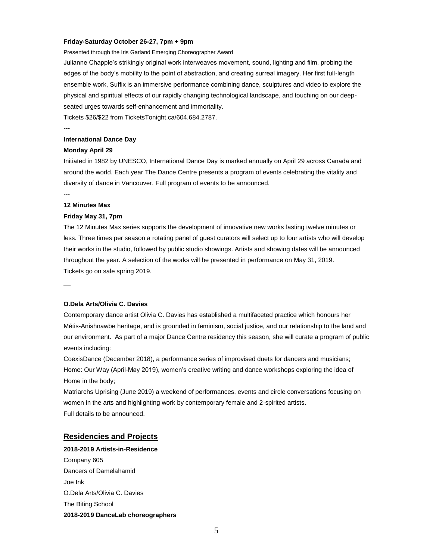#### **Friday-Saturday October 26-27, 7pm + 9pm**

Presented through the Iris Garland Emerging Choreographer Award

Julianne Chapple's strikingly original work interweaves movement, sound, lighting and film, probing the edges of the body's mobility to the point of abstraction, and creating surreal imagery. Her first full-length ensemble work, Suffix is an immersive performance combining dance, sculptures and video to explore the physical and spiritual effects of our rapidly changing technological landscape, and touching on our deepseated urges towards self-enhancement and immortality.

Tickets \$26/\$22 from TicketsTonight.ca/604.684.2787.

# **---**

# **International Dance Day**

#### **Monday April 29**

Initiated in 1982 by UNESCO, International Dance Day is marked annually on April 29 across Canada and around the world. Each year The Dance Centre presents a program of events celebrating the vitality and diversity of dance in Vancouver. Full program of events to be announced.

# --- **12 Minutes Max**

# **Friday May 31, 7pm**

The 12 Minutes Max series supports the development of innovative new works lasting twelve minutes or less. Three times per season a rotating panel of guest curators will select up to four artists who will develop their works in the studio, followed by public studio showings. Artists and showing dates will be announced throughout the year. A selection of the works will be presented in performance on May 31, 2019. Tickets go on sale spring 2019.

 $\overline{\phantom{a}}$ 

#### **O.Dela Arts/Olivia C. Davies**

Contemporary dance artist Olivia C. Davies has established a multifaceted practice which honours her Métis-Anishnawbe heritage, and is grounded in feminism, social justice, and our relationship to the land and our environment. As part of a major Dance Centre residency this season, she will curate a program of public events including:

CoexisDance (December 2018), a performance series of improvised duets for dancers and musicians; Home: Our Way (April-May 2019), women's creative writing and dance workshops exploring the idea of Home in the body;

Matriarchs Uprising (June 2019) a weekend of performances, events and circle conversations focusing on women in the arts and highlighting work by contemporary female and 2-spirited artists. Full details to be announced.

## **Residencies and Projects**

**2018-2019 Artists-in-Residence** Company 605 Dancers of Damelahamid Joe Ink O.Dela Arts/Olivia C. Davies The Biting School **2018-2019 DanceLab choreographers**